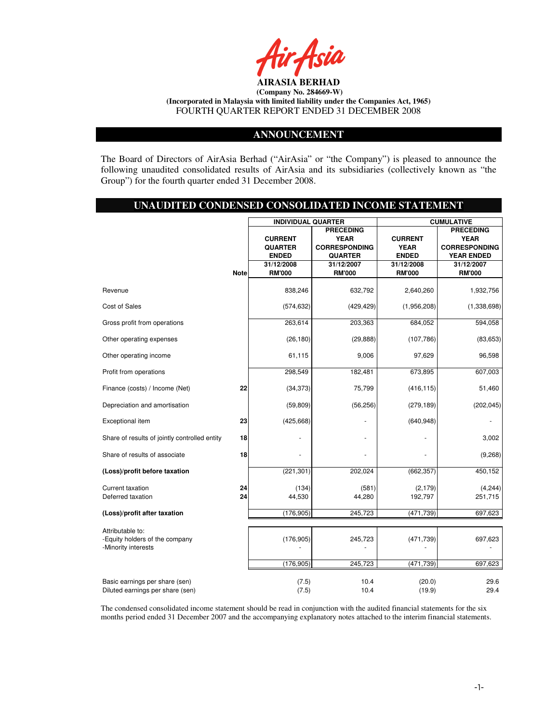

### **ANNOUNCEMENT**

The Board of Directors of AirAsia Berhad ("AirAsia" or "the Company") is pleased to announce the following unaudited consolidated results of AirAsia and its subsidiaries (collectively known as "the Group") for the fourth quarter ended 31 December 2008.

### **UNAUDITED CONDENSED CONSOLIDATED INCOME STATEMENT**

|                                                                           |             | <b>INDIVIDUAL QUARTER</b> |                      | <b>CUMULATIVE</b> |                      |  |
|---------------------------------------------------------------------------|-------------|---------------------------|----------------------|-------------------|----------------------|--|
|                                                                           |             |                           | <b>PRECEDING</b>     |                   | <b>PRECEDING</b>     |  |
|                                                                           |             | <b>CURRENT</b>            | <b>YEAR</b>          | <b>CURRENT</b>    | <b>YEAR</b>          |  |
|                                                                           |             | <b>QUARTER</b>            | <b>CORRESPONDING</b> | <b>YEAR</b>       | <b>CORRESPONDING</b> |  |
|                                                                           |             | <b>ENDED</b>              | <b>QUARTER</b>       | <b>ENDED</b>      | <b>YEAR ENDED</b>    |  |
|                                                                           |             | 31/12/2008                | 31/12/2007           | 31/12/2008        | 31/12/2007           |  |
|                                                                           | <b>Note</b> | <b>RM'000</b>             | <b>RM'000</b>        | <b>RM'000</b>     | <b>RM'000</b>        |  |
|                                                                           |             |                           |                      |                   |                      |  |
| Revenue                                                                   |             | 838,246                   | 632,792              | 2,640,260         | 1,932,756            |  |
| Cost of Sales                                                             |             | (574, 632)                | (429, 429)           | (1,956,208)       | (1,338,698)          |  |
| Gross profit from operations                                              |             | 263,614                   | 203,363              | 684,052           | 594,058              |  |
| Other operating expenses                                                  |             | (26, 180)                 | (29, 888)            | (107, 786)        | (83, 653)            |  |
| Other operating income                                                    |             | 61,115                    | 9,006                | 97,629            | 96,598               |  |
| Profit from operations                                                    |             | 298,549                   | 182,481              | 673,895           | 607,003              |  |
| Finance (costs) / Income (Net)                                            | 22          | (34, 373)                 | 75,799               | (416, 115)        | 51,460               |  |
| Depreciation and amortisation                                             |             | (59, 809)                 | (56, 256)            | (279, 189)        | (202, 045)           |  |
| Exceptional item                                                          | 23          | (425, 668)                |                      | (640, 948)        |                      |  |
| Share of results of jointly controlled entity                             | 18          |                           |                      |                   | 3,002                |  |
| Share of results of associate                                             | 18          |                           |                      |                   | (9,268)              |  |
| (Loss)/profit before taxation                                             |             | (221, 301)                | 202,024              | (662, 357)        | 450,152              |  |
| <b>Current taxation</b>                                                   | 24          | (134)                     | (581)                | (2, 179)          | (4, 244)             |  |
| Deferred taxation                                                         | 24          | 44,530                    | 44,280               | 192,797           | 251,715              |  |
|                                                                           |             |                           |                      |                   |                      |  |
| (Loss)/profit after taxation                                              |             | (176, 905)                | 245,723              | (471, 739)        | 697,623              |  |
|                                                                           |             |                           |                      |                   |                      |  |
| Attributable to:<br>-Equity holders of the company<br>-Minority interests |             | (176, 905)                | 245,723              | (471, 739)        | 697,623              |  |
|                                                                           |             | (176, 905)                | 245,723              | (471, 739)        | 697,623              |  |
| Basic earnings per share (sen)<br>Diluted earnings per share (sen)        |             | (7.5)<br>(7.5)            | 10.4<br>10.4         | (20.0)<br>(19.9)  | 29.6<br>29.4         |  |

The condensed consolidated income statement should be read in conjunction with the audited financial statements for the six months period ended 31 December 2007 and the accompanying explanatory notes attached to the interim financial statements.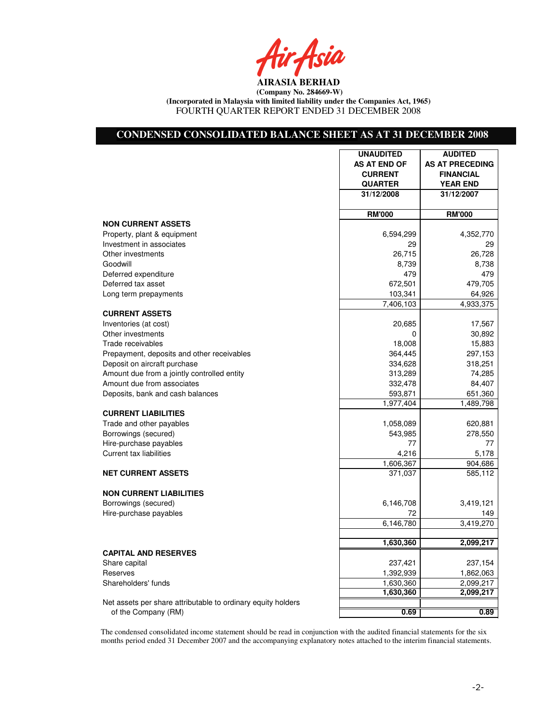Air Asia

### **CONDENSED CONSOLIDATED BALANCE SHEET AS AT 31 DECEMBER 2008**

|                                                              | <b>UNAUDITED</b> | <b>AUDITED</b>         |
|--------------------------------------------------------------|------------------|------------------------|
|                                                              | AS AT END OF     | <b>AS AT PRECEDING</b> |
|                                                              | <b>CURRENT</b>   | <b>FINANCIAL</b>       |
|                                                              | <b>QUARTER</b>   | <b>YEAR END</b>        |
|                                                              | 31/12/2008       | 31/12/2007             |
|                                                              | <b>RM'000</b>    | <b>RM'000</b>          |
| <b>NON CURRENT ASSETS</b>                                    |                  |                        |
| Property, plant & equipment                                  | 6,594,299        | 4,352,770              |
| Investment in associates                                     | 29               | 29                     |
| Other investments                                            | 26,715           | 26,728                 |
| Goodwill                                                     | 8,739            | 8,738                  |
| Deferred expenditure                                         | 479              | 479                    |
| Deferred tax asset                                           | 672,501          | 479,705                |
| Long term prepayments                                        | 103,341          | 64,926                 |
|                                                              | 7,406,103        | 4,933,375              |
| <b>CURRENT ASSETS</b>                                        |                  |                        |
| Inventories (at cost)                                        | 20,685           | 17,567                 |
| Other investments                                            | 0                | 30,892                 |
| Trade receivables                                            | 18,008           | 15,883                 |
| Prepayment, deposits and other receivables                   | 364,445          | 297,153                |
| Deposit on aircraft purchase                                 | 334,628          | 318,251                |
| Amount due from a jointly controlled entity                  | 313,289          | 74,285                 |
| Amount due from associates                                   | 332,478          | 84,407                 |
| Deposits, bank and cash balances                             | 593,871          | 651,360                |
|                                                              | 1,977,404        | 1,489,798              |
| <b>CURRENT LIABILITIES</b>                                   |                  |                        |
| Trade and other payables                                     | 1,058,089        | 620,881                |
| Borrowings (secured)                                         | 543,985          | 278,550                |
| Hire-purchase payables                                       | 77               | 77                     |
| Current tax liabilities                                      | 4,216            | 5,178                  |
|                                                              | 1,606,367        | 904,686                |
| <b>NET CURRENT ASSETS</b>                                    | 371,037          | 585,112                |
| <b>NON CURRENT LIABILITIES</b>                               |                  |                        |
| Borrowings (secured)                                         | 6,146,708        | 3,419,121              |
| Hire-purchase payables                                       | 72               | 149                    |
|                                                              | 6,146,780        | 3,419,270              |
|                                                              |                  |                        |
|                                                              | 1,630,360        | 2,099,217              |
| <b>CAPITAL AND RESERVES</b>                                  |                  |                        |
| Share capital                                                | 237,421          | 237,154                |
| Reserves                                                     | 1,392,939        | 1,862,063              |
| Shareholders' funds                                          | 1,630,360        | 2,099,217              |
|                                                              | 1,630,360        | 2,099,217              |
| Net assets per share attributable to ordinary equity holders |                  |                        |
| of the Company (RM)                                          | 0.69             | 0.89                   |

The condensed consolidated income statement should be read in conjunction with the audited financial statements for the six months period ended 31 December 2007 and the accompanying explanatory notes attached to the interim financial statements.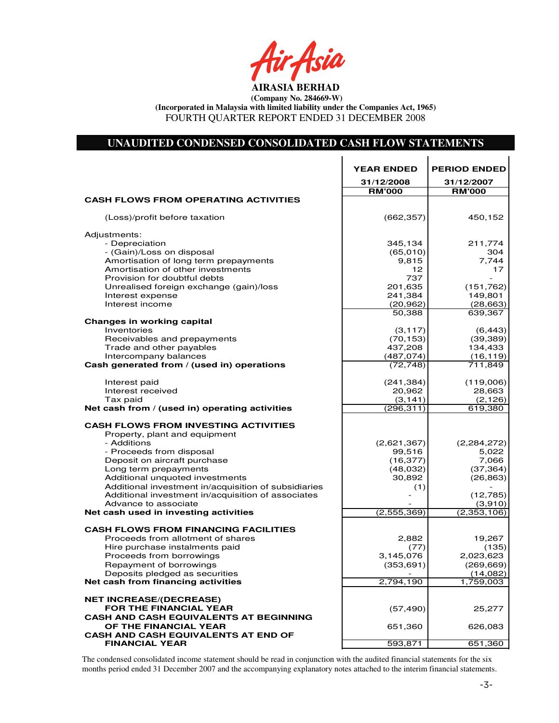## **UNAUDITED CONDENSED CONSOLIDATED CASH FLOW STATEMENTS**

|                                                                            | <b>YEAR ENDED</b>      | <b>PERIOD ENDED</b>    |
|----------------------------------------------------------------------------|------------------------|------------------------|
|                                                                            | 31/12/2008             | 31/12/2007             |
|                                                                            | <b>RM'000</b>          | <b>RM'000</b>          |
| <b>CASH FLOWS FROM OPERATING ACTIVITIES</b>                                |                        |                        |
|                                                                            |                        |                        |
| (Loss)/profit before taxation                                              | (662, 357)             | 450,152                |
| Adjustments:                                                               |                        |                        |
| - Depreciation                                                             | 345,134                | 211,774                |
| - (Gain)/Loss on disposal                                                  | (65,010)               | 304                    |
| Amortisation of long term prepayments                                      | 9,815                  | 7,744                  |
| Amortisation of other investments                                          | 12                     | 17                     |
| Provision for doubtful debts                                               | 737                    |                        |
| Unrealised foreign exchange (gain)/loss                                    | 201,635<br>241,384     | (151, 762)<br>149,801  |
| Interest expense<br>Interest income                                        | (20, 962)              | (28, 663)              |
|                                                                            | 50,388                 | 639,367                |
| Changes in working capital                                                 |                        |                        |
| Inventories                                                                | (3, 117)               | (6, 443)               |
| Receivables and prepayments                                                | (70, 153)              | (39, 389)              |
| Trade and other payables                                                   | 437,208                | 134,433                |
| Intercompany balances                                                      | (487, 074)             | (16, 119)              |
| Cash generated from / (used in) operations                                 | (72, 748)              | 711,849                |
|                                                                            |                        |                        |
| Interest paid                                                              | (241, 384)             | (119,006)              |
| Interest received                                                          | 20,962                 | 28,663                 |
| Tax paid<br>Net cash from / (used in) operating activities                 | (3, 141)<br>(296, 311) | (2, 126)<br>619,380    |
|                                                                            |                        |                        |
| <b>CASH FLOWS FROM INVESTING ACTIVITIES</b>                                |                        |                        |
| Property, plant and equipment                                              |                        |                        |
| - Additions                                                                | (2,621,367)            | (2,284,272)            |
| - Proceeds from disposal                                                   | 99,516                 | 5,022                  |
| Deposit on aircraft purchase                                               | (16, 377)              | 7,066                  |
| Long term prepayments                                                      | (48,032)               | (37, 364)              |
| Additional unquoted investments                                            | 30,892                 | (26, 863)              |
| Additional investment in/acquisition of subsidiaries                       | (1)                    |                        |
| Additional investment in/acquisition of associates<br>Advance to associate |                        | (12,785)               |
| Net cash used in investing activities                                      | (2,555,369)            | (3,910)<br>(2,353,106) |
|                                                                            |                        |                        |
| <b>CASH FLOWS FROM FINANCING FACILITIES</b>                                |                        |                        |
| Proceeds from allotment of shares                                          | 2,882                  | 19,267                 |
| Hire purchase instalments paid                                             | (77)                   | (135)                  |
| Proceeds from borrowings                                                   | 3,145,076              | 2,023,623              |
| Repayment of borrowings                                                    | (353, 691)             | (269, 669)             |
| Deposits pledged as securities                                             |                        | (14,082)               |
| Net cash from financing activities                                         | 2,794,190              | 1,759,003              |
| <b>NET INCREASE/(DECREASE)</b>                                             |                        |                        |
| <b>FOR THE FINANCIAL YEAR</b>                                              | (57, 490)              | 25,277                 |
| <b>CASH AND CASH EQUIVALENTS AT BEGINNING</b>                              |                        |                        |
| OF THE FINANCIAL YEAR                                                      | 651,360                | 626,083                |
| <b>CASH AND CASH EQUIVALENTS AT END OF</b>                                 |                        |                        |
| <b>FINANCIAL YEAR</b>                                                      | 593,871                | 651,360                |

The condensed consolidated income statement should be read in conjunction with the audited financial statements for the six months period ended 31 December 2007 and the accompanying explanatory notes attached to the interim financial statements.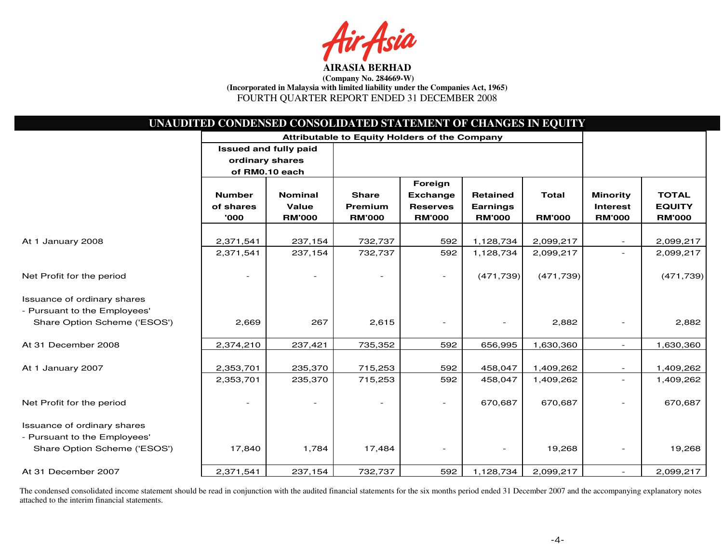a

|                              | UNAUDITED CONDENSED CONSOLIDATED STATEMENT OF CHANGES IN EQUITY |                                               |               |                          |                 |               |                          |               |
|------------------------------|-----------------------------------------------------------------|-----------------------------------------------|---------------|--------------------------|-----------------|---------------|--------------------------|---------------|
|                              |                                                                 | Attributable to Equity Holders of the Company |               |                          |                 |               |                          |               |
|                              | <b>Issued and fully paid</b>                                    |                                               |               |                          |                 |               |                          |               |
|                              | ordinary shares                                                 |                                               |               |                          |                 |               |                          |               |
|                              | of RM0.10 each                                                  |                                               |               |                          |                 |               |                          |               |
|                              |                                                                 |                                               |               | Foreign                  |                 |               |                          |               |
|                              | <b>Number</b>                                                   | <b>Nominal</b>                                | <b>Share</b>  | <b>Exchange</b>          | <b>Retained</b> | <b>Total</b>  | <b>Minority</b>          | <b>TOTAL</b>  |
|                              | of shares                                                       | Value                                         | Premium       | <b>Reserves</b>          | <b>Earnings</b> |               | <b>Interest</b>          | <b>EQUITY</b> |
|                              | '000                                                            | <b>RM'000</b>                                 | <b>RM'000</b> | <b>RM'000</b>            | <b>RM'000</b>   | <b>RM'000</b> | <b>RM'000</b>            | <b>RM'000</b> |
|                              |                                                                 |                                               |               |                          |                 |               |                          |               |
| At 1 January 2008            | 2,371,541                                                       | 237,154                                       | 732,737       | 592                      | 1,128,734       | 2,099,217     |                          | 2,099,217     |
|                              | 2,371,541                                                       | 237,154                                       | 732,737       | 592                      | 1,128,734       | 2,099,217     |                          | 2,099,217     |
| Net Profit for the period    |                                                                 |                                               |               | $\overline{\phantom{a}}$ | (471, 739)      | (471, 739)    |                          | (471, 739)    |
| Issuance of ordinary shares  |                                                                 |                                               |               |                          |                 |               |                          |               |
| - Pursuant to the Employees' |                                                                 |                                               |               |                          |                 |               |                          |               |
| Share Option Scheme ('ESOS') | 2,669                                                           | 267                                           | 2,615         |                          |                 | 2,882         |                          | 2,882         |
| At 31 December 2008          | 2,374,210                                                       | 237,421                                       | 735,352       | 592                      | 656,995         | 1,630,360     | $\sim$                   | 1,630,360     |
|                              |                                                                 |                                               |               |                          |                 |               |                          |               |
| At 1 January 2007            | 2,353,701                                                       | 235,370                                       | 715,253       | 592                      | 458,047         | 1,409,262     | $\overline{\phantom{a}}$ | 1,409,262     |
|                              | 2,353,701                                                       | 235,370                                       | 715,253       | 592                      | 458,047         | 1,409,262     | $\overline{\phantom{a}}$ | 1,409,262     |
| Net Profit for the period    |                                                                 |                                               |               | $\overline{\phantom{a}}$ | 670,687         | 670,687       |                          | 670,687       |
| Issuance of ordinary shares  |                                                                 |                                               |               |                          |                 |               |                          |               |
| - Pursuant to the Employees' |                                                                 |                                               |               |                          |                 |               |                          |               |
| Share Option Scheme ('ESOS') | 17,840                                                          | 1,784                                         | 17,484        |                          |                 | 19,268        | $\overline{\phantom{a}}$ | 19,268        |
| At 31 December 2007          | 2,371,541                                                       | 237,154                                       | 732,737       | 592                      | 1,128,734       | 2,099,217     |                          | 2,099,217     |

The condensed consolidated income statement should be read in conjunction with the audited financial statements for the six months period ended 31 December 2007 and the accompanying explanatory notes attached to the interim financial statements.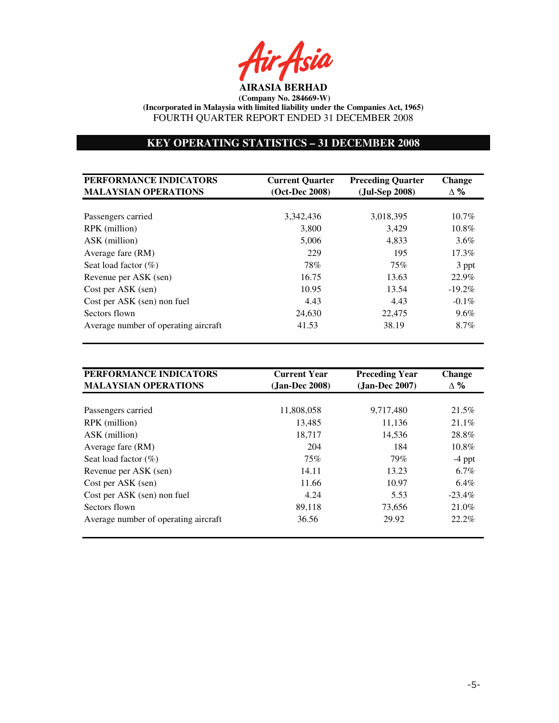r Asia

# **KEY OPERATING STATISTICS – 31 DECEMBER 2008**

| PERFORMANCE INDICATORS<br><b>MALAYSIAN OPERATIONS</b> | <b>Current Quarter</b><br>(Oct-Dec 2008) | <b>Preceding Quarter</b><br>(Jul-Sep 2008) | <b>Change</b><br>$\Delta \%$ |
|-------------------------------------------------------|------------------------------------------|--------------------------------------------|------------------------------|
|                                                       |                                          |                                            |                              |
| Passengers carried                                    | 3,342,436                                | 3,018,395                                  | $10.7\%$                     |
| RPK (million)                                         | 3,800                                    | 3,429                                      | $10.8\%$                     |
| ASK (million)                                         | 5,006                                    | 4,833                                      | $3.6\%$                      |
| Average fare (RM)                                     | 229                                      | 195                                        | $17.3\%$                     |
| Seat load factor $(\%)$                               | 78%                                      | 75%                                        | 3 ppt                        |
| Revenue per ASK (sen)                                 | 16.75                                    | 13.63                                      | 22.9%                        |
| Cost per ASK (sen)                                    | 10.95                                    | 13.54                                      | $-19.2\%$                    |
| Cost per ASK (sen) non fuel                           | 4.43                                     | 4.43                                       | $-0.1\%$                     |
| Sectors flown                                         | 24,630                                   | 22,475                                     | $9.6\%$                      |
| Average number of operating aircraft                  | 41.53                                    | 38.19                                      | 8.7%                         |

| PERFORMANCE INDICATORS<br><b>MALAYSIAN OPERATIONS</b> | <b>Current Year</b><br>(Jan-Dec 2008) | <b>Preceding Year</b><br>$(Jan-Dec~2007)$ | <b>Change</b><br>$\Delta \%$ |
|-------------------------------------------------------|---------------------------------------|-------------------------------------------|------------------------------|
|                                                       |                                       |                                           |                              |
| Passengers carried                                    | 11,808,058                            | 9,717,480                                 | 21.5%                        |
| RPK (million)                                         | 13,485                                | 11,136                                    | $21.1\%$                     |
| ASK (million)                                         | 18.717                                | 14.536                                    | 28.8%                        |
| Average fare (RM)                                     | 204                                   | 184                                       | $10.8\%$                     |
| Seat load factor $(\%)$                               | 75%                                   | 79%                                       | $-4$ ppt                     |
| Revenue per ASK (sen)                                 | 14.11                                 | 13.23                                     | $6.7\%$                      |
| Cost per ASK (sen)                                    | 11.66                                 | 10.97                                     | $6.4\%$                      |
| Cost per ASK (sen) non fuel                           | 4.24                                  | 5.53                                      | $-23.4\%$                    |
| Sectors flown                                         | 89,118                                | 73,656                                    | 21.0%                        |
| Average number of operating aircraft                  | 36.56                                 | 29.92                                     | $22.2\%$                     |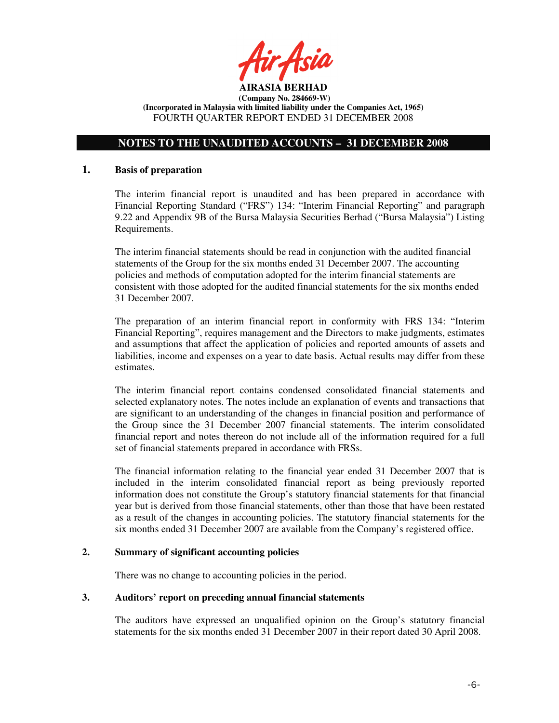

# **NOTES TO THE UNAUDITED ACCOUNTS – 31 DECEMBER 2008**

#### **1. Basis of preparation**

The interim financial report is unaudited and has been prepared in accordance with Financial Reporting Standard ("FRS") 134: "Interim Financial Reporting" and paragraph 9.22 and Appendix 9B of the Bursa Malaysia Securities Berhad ("Bursa Malaysia") Listing Requirements.

The interim financial statements should be read in conjunction with the audited financial statements of the Group for the six months ended 31 December 2007. The accounting policies and methods of computation adopted for the interim financial statements are consistent with those adopted for the audited financial statements for the six months ended 31 December 2007.

The preparation of an interim financial report in conformity with FRS 134: "Interim Financial Reporting", requires management and the Directors to make judgments, estimates and assumptions that affect the application of policies and reported amounts of assets and liabilities, income and expenses on a year to date basis. Actual results may differ from these estimates.

The interim financial report contains condensed consolidated financial statements and selected explanatory notes. The notes include an explanation of events and transactions that are significant to an understanding of the changes in financial position and performance of the Group since the 31 December 2007 financial statements. The interim consolidated financial report and notes thereon do not include all of the information required for a full set of financial statements prepared in accordance with FRSs.

The financial information relating to the financial year ended 31 December 2007 that is included in the interim consolidated financial report as being previously reported information does not constitute the Group's statutory financial statements for that financial year but is derived from those financial statements, other than those that have been restated as a result of the changes in accounting policies. The statutory financial statements for the six months ended 31 December 2007 are available from the Company's registered office.

#### **2. Summary of significant accounting policies**

There was no change to accounting policies in the period.

# **3. Auditors' report on preceding annual financial statements**

The auditors have expressed an unqualified opinion on the Group's statutory financial statements for the six months ended 31 December 2007 in their report dated 30 April 2008.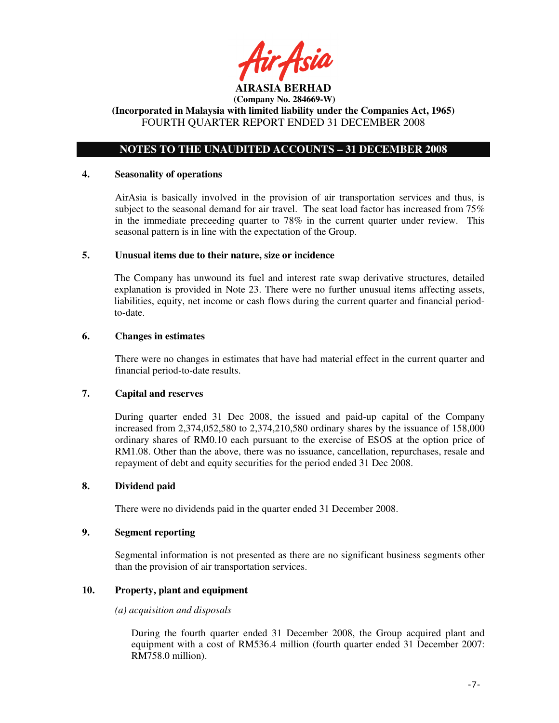

**(Incorporated in Malaysia with limited liability under the Companies Act, 1965)**  FOURTH QUARTER REPORT ENDED 31 DECEMBER 2008

# **NOTES TO THE UNAUDITED ACCOUNTS – 31 DECEMBER 2008**

#### **4. Seasonality of operations**

AirAsia is basically involved in the provision of air transportation services and thus, is subject to the seasonal demand for air travel. The seat load factor has increased from 75% in the immediate preceeding quarter to 78% in the current quarter under review. This seasonal pattern is in line with the expectation of the Group.

### **5. Unusual items due to their nature, size or incidence**

The Company has unwound its fuel and interest rate swap derivative structures, detailed explanation is provided in Note 23. There were no further unusual items affecting assets, liabilities, equity, net income or cash flows during the current quarter and financial periodto-date.

### **6. Changes in estimates**

There were no changes in estimates that have had material effect in the current quarter and financial period-to-date results.

# **7. Capital and reserves**

During quarter ended 31 Dec 2008, the issued and paid-up capital of the Company increased from 2,374,052,580 to 2,374,210,580 ordinary shares by the issuance of 158,000 ordinary shares of RM0.10 each pursuant to the exercise of ESOS at the option price of RM1.08. Other than the above, there was no issuance, cancellation, repurchases, resale and repayment of debt and equity securities for the period ended 31 Dec 2008.

# **8. Dividend paid**

There were no dividends paid in the quarter ended 31 December 2008.

## **9. Segment reporting**

Segmental information is not presented as there are no significant business segments other than the provision of air transportation services.

# **10. Property, plant and equipment**

#### *(a) acquisition and disposals*

During the fourth quarter ended 31 December 2008, the Group acquired plant and equipment with a cost of RM536.4 million (fourth quarter ended 31 December 2007: RM758.0 million).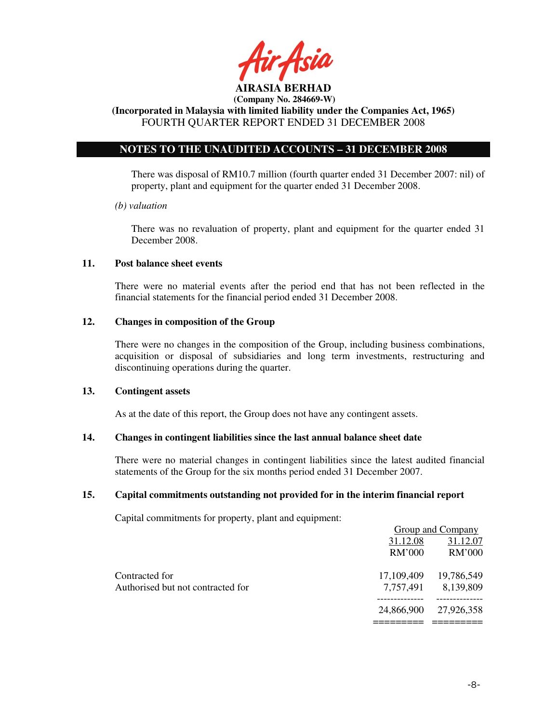

**(Incorporated in Malaysia with limited liability under the Companies Act, 1965)**  FOURTH QUARTER REPORT ENDED 31 DECEMBER 2008

# **NOTES TO THE UNAUDITED ACCOUNTS – 31 DECEMBER 2008**

There was disposal of RM10.7 million (fourth quarter ended 31 December 2007: nil) of property, plant and equipment for the quarter ended 31 December 2008.

### *(b) valuation*

 There was no revaluation of property, plant and equipment for the quarter ended 31 December 2008.

## **11. Post balance sheet events**

There were no material events after the period end that has not been reflected in the financial statements for the financial period ended 31 December 2008.

# **12. Changes in composition of the Group**

There were no changes in the composition of the Group, including business combinations, acquisition or disposal of subsidiaries and long term investments, restructuring and discontinuing operations during the quarter.

### **13. Contingent assets**

As at the date of this report, the Group does not have any contingent assets.

# **14. Changes in contingent liabilities since the last annual balance sheet date**

There were no material changes in contingent liabilities since the latest audited financial statements of the Group for the six months period ended 31 December 2007.

# **15. Capital commitments outstanding not provided for in the interim financial report**

Capital commitments for property, plant and equipment:

|                                   |            | Group and Company |
|-----------------------------------|------------|-------------------|
|                                   | 31.12.08   | 31.12.07          |
|                                   | RM'000     | RM'000            |
| Contracted for                    | 17,109,409 | 19,786,549        |
| Authorised but not contracted for | 7,757,491  | 8,139,809         |
|                                   | 24,866,900 | 27,926,358        |
|                                   |            |                   |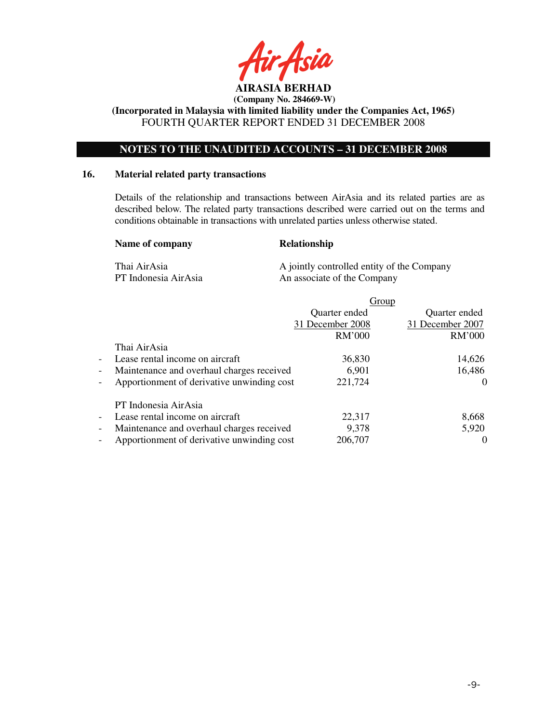

**(Incorporated in Malaysia with limited liability under the Companies Act, 1965)**  FOURTH QUARTER REPORT ENDED 31 DECEMBER 2008

# **NOTES TO THE UNAUDITED ACCOUNTS – 31 DECEMBER 2008**

#### **16. Material related party transactions**

Details of the relationship and transactions between AirAsia and its related parties are as described below. The related party transactions described were carried out on the terms and conditions obtainable in transactions with unrelated parties unless otherwise stated.

#### Name of company Relationship

Thai AirAsia A jointly controlled entity of the Company PT Indonesia AirAsia An associate of the Company

|                                                                        |                  | Group            |
|------------------------------------------------------------------------|------------------|------------------|
|                                                                        | Quarter ended    | Quarter ended    |
|                                                                        | 31 December 2008 | 31 December 2007 |
|                                                                        | RM'000           | RM'000           |
| Thai AirAsia                                                           |                  |                  |
| Lease rental income on aircraft<br>$\overline{\phantom{a}}$            | 36,830           | 14,626           |
| Maintenance and overhaul charges received<br>$\overline{\phantom{a}}$  | 6,901            | 16,486           |
| Apportionment of derivative unwinding cost<br>$\overline{\phantom{a}}$ | 221,724          | $\theta$         |
| PT Indonesia AirAsia                                                   |                  |                  |
| Lease rental income on aircraft<br>$\overline{\phantom{a}}$            | 22,317           | 8,668            |
| Maintenance and overhaul charges received<br>$\overline{\phantom{a}}$  | 9,378            | 5,920            |
| Apportionment of derivative unwinding cost<br>$\overline{\phantom{a}}$ | 206,707          |                  |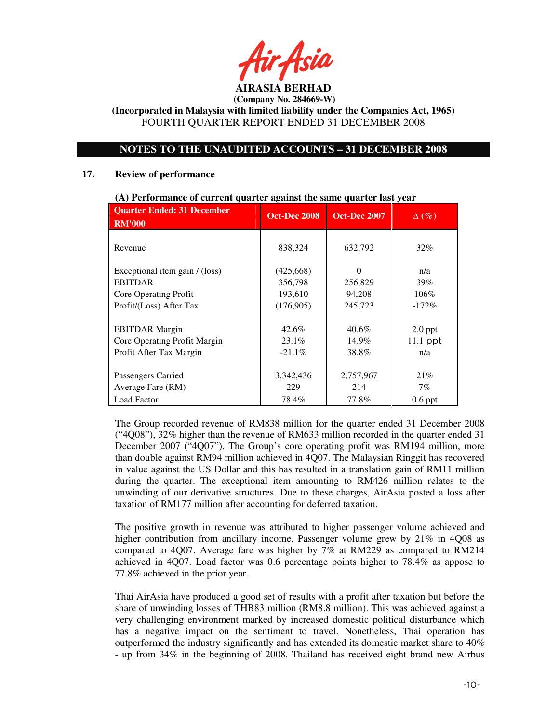**AIRASIA BERHAD** 

**(Incorporated in Malaysia with limited liability under the Companies Act, 1965)**  FOURTH QUARTER REPORT ENDED 31 DECEMBER 2008

# **NOTES TO THE UNAUDITED ACCOUNTS – 31 DECEMBER 2008**

#### **17. Review of performance**

| <b>Quarter Ended: 31 December</b><br><b>RM'000</b> | <b>Oct-Dec 2008</b> | <b>Oct-Dec 2007</b> | $\Delta(\%)$ |
|----------------------------------------------------|---------------------|---------------------|--------------|
| Revenue                                            | 838,324             | 632,792             | 32%          |
| Exceptional item gain / (loss)                     | (425,668)           | 0                   | n/a          |
| <b>EBITDAR</b>                                     | 356,798             | 256,829             | 39%          |
| Core Operating Profit                              | 193,610             | 94.208              | 106%         |
| Profit/(Loss) After Tax                            | (176,905)           | 245,723             | $-172\%$     |
| <b>EBITDAR</b> Margin                              | $42.6\%$            | $40.6\%$            | $2.0$ ppt    |
| Core Operating Profit Margin                       | $23.1\%$            | $14.9\%$            | $11.1$ ppt   |
| Profit After Tax Margin                            | $-21.1\%$           | 38.8%               | n/a          |
| Passengers Carried<br>Average Fare (RM)            | 3,342,436<br>229    | 2,757,967<br>214    | 21%<br>$7\%$ |
| <b>Load Factor</b>                                 | 78.4%               | 77.8%               | $0.6$ ppt    |

#### **(A) Performance of current quarter against the same quarter last year**

The Group recorded revenue of RM838 million for the quarter ended 31 December 2008 ("4Q08"), 32% higher than the revenue of RM633 million recorded in the quarter ended 31 December 2007 ("4Q07"). The Group's core operating profit was RM194 million, more than double against RM94 million achieved in 4Q07. The Malaysian Ringgit has recovered in value against the US Dollar and this has resulted in a translation gain of RM11 million during the quarter. The exceptional item amounting to RM426 million relates to the unwinding of our derivative structures. Due to these charges, AirAsia posted a loss after taxation of RM177 million after accounting for deferred taxation.

The positive growth in revenue was attributed to higher passenger volume achieved and higher contribution from ancillary income. Passenger volume grew by 21% in 4Q08 as compared to 4Q07. Average fare was higher by 7% at RM229 as compared to RM214 achieved in 4Q07. Load factor was 0.6 percentage points higher to 78.4% as appose to 77.8% achieved in the prior year.

Thai AirAsia have produced a good set of results with a profit after taxation but before the share of unwinding losses of THB83 million (RM8.8 million). This was achieved against a very challenging environment marked by increased domestic political disturbance which has a negative impact on the sentiment to travel. Nonetheless, Thai operation has outperformed the industry significantly and has extended its domestic market share to 40% - up from 34% in the beginning of 2008. Thailand has received eight brand new Airbus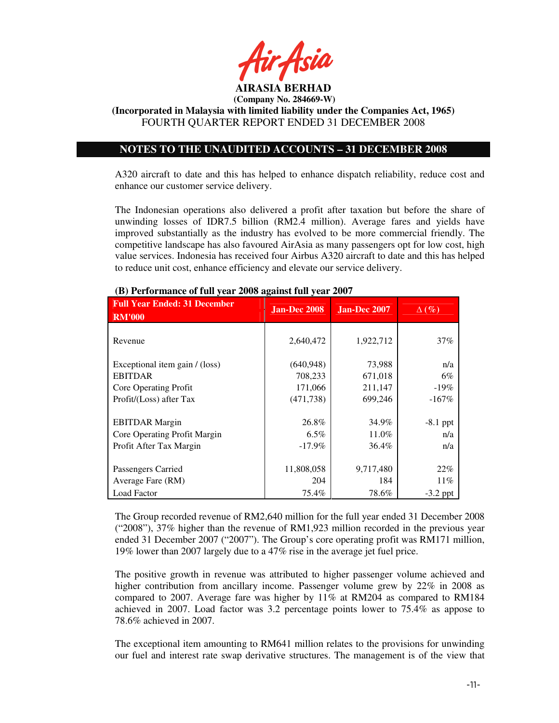

**(Incorporated in Malaysia with limited liability under the Companies Act, 1965)**  FOURTH QUARTER REPORT ENDED 31 DECEMBER 2008

# **NOTES TO THE UNAUDITED ACCOUNTS – 31 DECEMBER 2008**

A320 aircraft to date and this has helped to enhance dispatch reliability, reduce cost and enhance our customer service delivery.

The Indonesian operations also delivered a profit after taxation but before the share of unwinding losses of IDR7.5 billion (RM2.4 million). Average fares and yields have improved substantially as the industry has evolved to be more commercial friendly. The competitive landscape has also favoured AirAsia as many passengers opt for low cost, high value services. Indonesia has received four Airbus A320 aircraft to date and this has helped to reduce unit cost, enhance efficiency and elevate our service delivery.

| <b>Full Year Ended: 31 December</b><br><b>RM'000</b> | <b>Jan-Dec 2008</b> | Jan-Dec 2007       | $\Delta(\%)$  |
|------------------------------------------------------|---------------------|--------------------|---------------|
| Revenue                                              | 2,640,472           | 1,922,712          | 37%           |
| Exceptional item gain / (loss)<br><b>EBITDAR</b>     | (640, 948)          | 73,988             | n/a           |
| Core Operating Profit                                | 708,233<br>171,066  | 671,018<br>211,147 | 6%<br>$-19\%$ |
| Profit/(Loss) after Tax                              | (471, 738)          | 699,246            | $-167\%$      |
| <b>EBITDAR</b> Margin                                | 26.8%               | 34.9%              | $-8.1$ ppt    |
| Core Operating Profit Margin                         | $6.5\%$             | 11.0%              | n/a           |
| Profit After Tax Margin                              | $-17.9\%$           | 36.4%              | n/a           |
| Passengers Carried                                   | 11,808,058          | 9,717,480          | 22%           |
| Average Fare (RM)                                    | 204                 | 184                | $11\%$        |
| <b>Load Factor</b>                                   | 75.4%               | 78.6%              | $-3.2$ ppt    |

#### **(B) Performance of full year 2008 against full year 2007**

The Group recorded revenue of RM2,640 million for the full year ended 31 December 2008 ("2008"), 37% higher than the revenue of RM1,923 million recorded in the previous year ended 31 December 2007 ("2007"). The Group's core operating profit was RM171 million, 19% lower than 2007 largely due to a 47% rise in the average jet fuel price.

The positive growth in revenue was attributed to higher passenger volume achieved and higher contribution from ancillary income. Passenger volume grew by 22% in 2008 as compared to 2007. Average fare was higher by 11% at RM204 as compared to RM184 achieved in 2007. Load factor was 3.2 percentage points lower to 75.4% as appose to 78.6% achieved in 2007.

The exceptional item amounting to RM641 million relates to the provisions for unwinding our fuel and interest rate swap derivative structures. The management is of the view that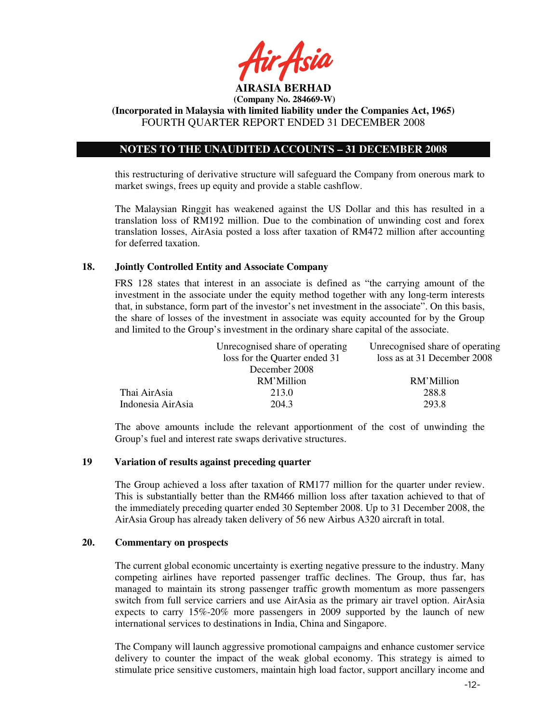

**(Incorporated in Malaysia with limited liability under the Companies Act, 1965)**  FOURTH QUARTER REPORT ENDED 31 DECEMBER 2008

# **NOTES TO THE UNAUDITED ACCOUNTS – 31 DECEMBER 2008**

this restructuring of derivative structure will safeguard the Company from onerous mark to market swings, frees up equity and provide a stable cashflow.

The Malaysian Ringgit has weakened against the US Dollar and this has resulted in a translation loss of RM192 million. Due to the combination of unwinding cost and forex translation losses, AirAsia posted a loss after taxation of RM472 million after accounting for deferred taxation.

### **18. Jointly Controlled Entity and Associate Company**

FRS 128 states that interest in an associate is defined as "the carrying amount of the investment in the associate under the equity method together with any long-term interests that, in substance, form part of the investor's net investment in the associate". On this basis, the share of losses of the investment in associate was equity accounted for by the Group and limited to the Group's investment in the ordinary share capital of the associate.

|                   | Unrecognised share of operating | Unrecognised share of operating |
|-------------------|---------------------------------|---------------------------------|
|                   | loss for the Quarter ended 31   | loss as at 31 December 2008     |
|                   | December 2008                   |                                 |
|                   | RM'Million                      | RM'Million                      |
| Thai AirAsia      | 213.0                           | 288.8                           |
| Indonesia AirAsia | 204.3                           | 293.8                           |
|                   |                                 |                                 |

The above amounts include the relevant apportionment of the cost of unwinding the Group's fuel and interest rate swaps derivative structures.

# **19 Variation of results against preceding quarter**

The Group achieved a loss after taxation of RM177 million for the quarter under review. This is substantially better than the RM466 million loss after taxation achieved to that of the immediately preceding quarter ended 30 September 2008. Up to 31 December 2008, the AirAsia Group has already taken delivery of 56 new Airbus A320 aircraft in total.

## **20. Commentary on prospects**

The current global economic uncertainty is exerting negative pressure to the industry. Many competing airlines have reported passenger traffic declines. The Group, thus far, has managed to maintain its strong passenger traffic growth momentum as more passengers switch from full service carriers and use AirAsia as the primary air travel option. AirAsia expects to carry 15%-20% more passengers in 2009 supported by the launch of new international services to destinations in India, China and Singapore.

The Company will launch aggressive promotional campaigns and enhance customer service delivery to counter the impact of the weak global economy. This strategy is aimed to stimulate price sensitive customers, maintain high load factor, support ancillary income and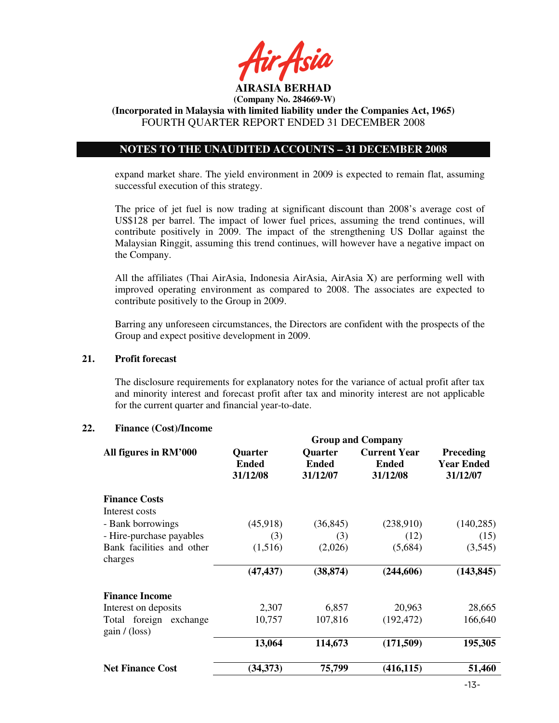

**(Incorporated in Malaysia with limited liability under the Companies Act, 1965)**  FOURTH QUARTER REPORT ENDED 31 DECEMBER 2008

# **NOTES TO THE UNAUDITED ACCOUNTS – 31 DECEMBER 2008**

expand market share. The yield environment in 2009 is expected to remain flat, assuming successful execution of this strategy.

The price of jet fuel is now trading at significant discount than 2008's average cost of US\$128 per barrel. The impact of lower fuel prices, assuming the trend continues, will contribute positively in 2009. The impact of the strengthening US Dollar against the Malaysian Ringgit, assuming this trend continues, will however have a negative impact on the Company.

All the affiliates (Thai AirAsia, Indonesia AirAsia, AirAsia X) are performing well with improved operating environment as compared to 2008. The associates are expected to contribute positively to the Group in 2009.

Barring any unforeseen circumstances, the Directors are confident with the prospects of the Group and expect positive development in 2009.

#### **21. Profit forecast**

The disclosure requirements for explanatory notes for the variance of actual profit after tax and minority interest and forecast profit after tax and minority interest are not applicable for the current quarter and financial year-to-date.

# **22. Finance (Cost)/Income**

|                                       | <b>Group and Company</b>                   |                                            |                                                 |                                                   |  |
|---------------------------------------|--------------------------------------------|--------------------------------------------|-------------------------------------------------|---------------------------------------------------|--|
| All figures in RM'000                 | <b>Quarter</b><br><b>Ended</b><br>31/12/08 | <b>Quarter</b><br><b>Ended</b><br>31/12/07 | <b>Current Year</b><br><b>Ended</b><br>31/12/08 | <b>Preceding</b><br><b>Year Ended</b><br>31/12/07 |  |
| <b>Finance Costs</b>                  |                                            |                                            |                                                 |                                                   |  |
| Interest costs                        |                                            |                                            |                                                 |                                                   |  |
| - Bank borrowings                     | (45,918)                                   | (36, 845)                                  | (238,910)                                       | (140, 285)                                        |  |
| - Hire-purchase payables              | (3)                                        | (3)                                        | (12)                                            | (15)                                              |  |
| Bank facilities and other<br>charges  | (1,516)                                    | (2,026)                                    | (5,684)                                         | (3,545)                                           |  |
|                                       | (47, 437)                                  | (38, 874)                                  | (244, 606)                                      | (143, 845)                                        |  |
| <b>Finance Income</b>                 |                                            |                                            |                                                 |                                                   |  |
| Interest on deposits                  | 2,307                                      | 6,857                                      | 20,963                                          | 28,665                                            |  |
| Total foreign exchange<br>gain/(loss) | 10,757                                     | 107,816                                    | (192, 472)                                      | 166,640                                           |  |
|                                       | 13,064                                     | 114,673                                    | (171,509)                                       | 195,305                                           |  |
| <b>Net Finance Cost</b>               | (34, 373)                                  | 75,799                                     | (416, 115)                                      | 51,460                                            |  |
|                                       |                                            |                                            |                                                 |                                                   |  |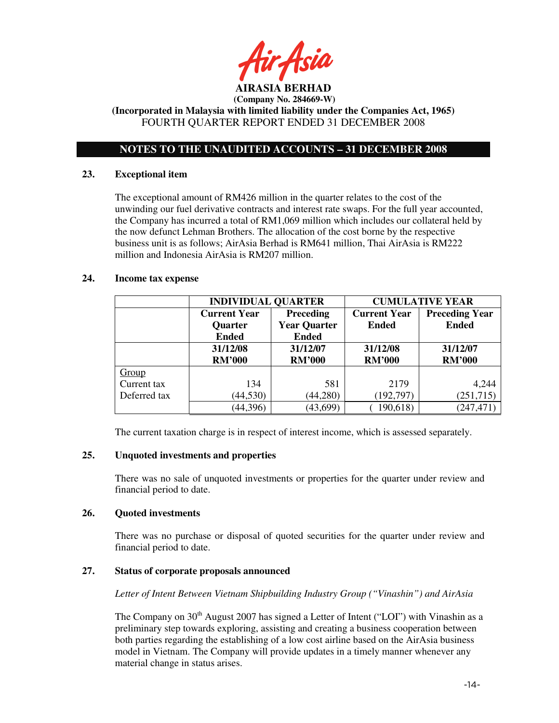

**(Incorporated in Malaysia with limited liability under the Companies Act, 1965)**  FOURTH QUARTER REPORT ENDED 31 DECEMBER 2008

# **NOTES TO THE UNAUDITED ACCOUNTS – 31 DECEMBER 2008**

### **23. Exceptional item**

The exceptional amount of RM426 million in the quarter relates to the cost of the unwinding our fuel derivative contracts and interest rate swaps. For the full year accounted, the Company has incurred a total of RM1,069 million which includes our collateral held by the now defunct Lehman Brothers. The allocation of the cost borne by the respective business unit is as follows; AirAsia Berhad is RM641 million, Thai AirAsia is RM222 million and Indonesia AirAsia is RM207 million.

## **24. Income tax expense**

|              | <b>INDIVIDUAL QUARTER</b> |                     | <b>CUMULATIVE YEAR</b> |                       |  |
|--------------|---------------------------|---------------------|------------------------|-----------------------|--|
|              | <b>Current Year</b>       | <b>Preceding</b>    | <b>Current Year</b>    | <b>Preceding Year</b> |  |
|              | <b>Quarter</b>            | <b>Year Quarter</b> | <b>Ended</b>           | <b>Ended</b>          |  |
|              | <b>Ended</b>              | <b>Ended</b>        |                        |                       |  |
|              | 31/12/08                  | 31/12/07            | 31/12/08               | 31/12/07              |  |
|              | <b>RM'000</b>             | <b>RM'000</b>       | <b>RM'000</b>          | <b>RM'000</b>         |  |
| Group        |                           |                     |                        |                       |  |
| Current tax  | 134                       | 581                 | 2179                   | 4,244                 |  |
| Deferred tax | (44, 530)                 | (44,280)            | (192, 797)             | (251, 715)            |  |
|              | (44,396)                  | (43, 699)           | 190,618)               | (247, 471)            |  |

The current taxation charge is in respect of interest income, which is assessed separately.

# **25. Unquoted investments and properties**

There was no sale of unquoted investments or properties for the quarter under review and financial period to date.

### **26. Quoted investments**

There was no purchase or disposal of quoted securities for the quarter under review and financial period to date.

# **27. Status of corporate proposals announced**

*Letter of Intent Between Vietnam Shipbuilding Industry Group ("Vinashin") and AirAsia* 

The Company on  $30<sup>th</sup>$  August 2007 has signed a Letter of Intent ("LOI") with Vinashin as a preliminary step towards exploring, assisting and creating a business cooperation between both parties regarding the establishing of a low cost airline based on the AirAsia business model in Vietnam. The Company will provide updates in a timely manner whenever any material change in status arises.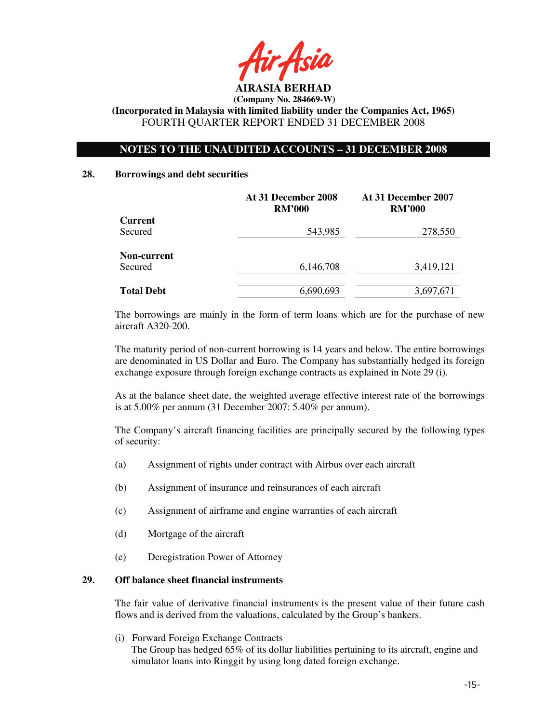

# **NOTES TO THE UNAUDITED ACCOUNTS – 31 DECEMBER 2008**

#### **28. Borrowings and debt securities**

|                   | At 31 December 2008<br><b>RM'000</b> | At 31 December 2007<br><b>RM'000</b> |  |
|-------------------|--------------------------------------|--------------------------------------|--|
| <b>Current</b>    |                                      |                                      |  |
| Secured           | 543,985                              | 278,550                              |  |
| Non-current       |                                      |                                      |  |
| Secured           | 6,146,708                            | 3,419,121                            |  |
|                   |                                      |                                      |  |
| <b>Total Debt</b> | 6,690,693                            | 3,697,671                            |  |

The borrowings are mainly in the form of term loans which are for the purchase of new aircraft A320-200.

The maturity period of non-current borrowing is 14 years and below. The entire borrowings are denominated in US Dollar and Euro. The Company has substantially hedged its foreign exchange exposure through foreign exchange contracts as explained in Note 29 (i).

As at the balance sheet date, the weighted average effective interest rate of the borrowings is at 5.00% per annum (31 December 2007: 5.40% per annum).

The Company's aircraft financing facilities are principally secured by the following types of security:

- (a) Assignment of rights under contract with Airbus over each aircraft
- (b) Assignment of insurance and reinsurances of each aircraft
- (c) Assignment of airframe and engine warranties of each aircraft
- (d) Mortgage of the aircraft
- (e) Deregistration Power of Attorney

# **29. Off balance sheet financial instruments**

 The fair value of derivative financial instruments is the present value of their future cash flows and is derived from the valuations, calculated by the Group's bankers.

(i) Forward Foreign Exchange Contracts

The Group has hedged 65% of its dollar liabilities pertaining to its aircraft, engine and simulator loans into Ringgit by using long dated foreign exchange.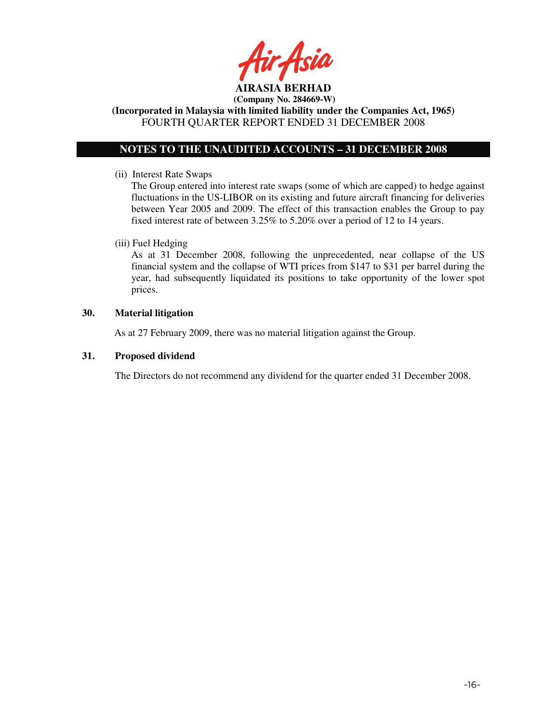

**(Incorporated in Malaysia with limited liability under the Companies Act, 1965)**  FOURTH QUARTER REPORT ENDED 31 DECEMBER 2008

# **NOTES TO THE UNAUDITED ACCOUNTS – 31 DECEMBER 2008**

(ii) Interest Rate Swaps

The Group entered into interest rate swaps (some of which are capped) to hedge against fluctuations in the US-LIBOR on its existing and future aircraft financing for deliveries between Year 2005 and 2009. The effect of this transaction enables the Group to pay fixed interest rate of between 3.25% to 5.20% over a period of 12 to 14 years.

# (iii) Fuel Hedging

As at 31 December 2008, following the unprecedented, near collapse of the US financial system and the collapse of WTI prices from \$147 to \$31 per barrel during the year, had subsequently liquidated its positions to take opportunity of the lower spot prices.

### **30. Material litigation**

As at 27 February 2009, there was no material litigation against the Group.

## **31. Proposed dividend**

The Directors do not recommend any dividend for the quarter ended 31 December 2008.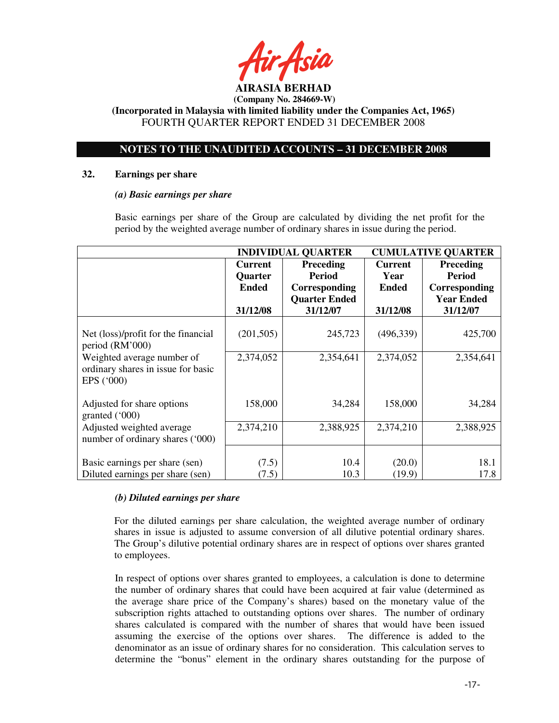

**(Incorporated in Malaysia with limited liability under the Companies Act, 1965)**  FOURTH QUARTER REPORT ENDED 31 DECEMBER 2008

# **NOTES TO THE UNAUDITED ACCOUNTS – 31 DECEMBER 2008**

#### **32. Earnings per share**

### *(a) Basic earnings per share*

 Basic earnings per share of the Group are calculated by dividing the net profit for the period by the weighted average number of ordinary shares in issue during the period.

|                                                                                | <b>INDIVIDUAL QUARTER</b> |                      | <b>CUMULATIVE QUARTER</b> |                   |
|--------------------------------------------------------------------------------|---------------------------|----------------------|---------------------------|-------------------|
|                                                                                | <b>Current</b>            | <b>Preceding</b>     | <b>Current</b>            | <b>Preceding</b>  |
|                                                                                | <b>Quarter</b>            | <b>Period</b>        | Year                      | <b>Period</b>     |
|                                                                                | <b>Ended</b>              | Corresponding        | <b>Ended</b>              | Corresponding     |
|                                                                                |                           | <b>Quarter Ended</b> |                           | <b>Year Ended</b> |
|                                                                                | 31/12/08                  | 31/12/07             | 31/12/08                  | 31/12/07          |
| Net (loss)/profit for the financial                                            | (201, 505)                | 245,723              | (496,339)                 | 425,700           |
| period (RM'000)                                                                |                           |                      |                           |                   |
| Weighted average number of<br>ordinary shares in issue for basic<br>EPS ('000) | 2,374,052                 | 2,354,641            | 2,374,052                 | 2,354,641         |
|                                                                                |                           |                      |                           |                   |
| Adjusted for share options<br>granted $(000)$                                  | 158,000                   | 34,284               | 158,000                   | 34,284            |
| Adjusted weighted average<br>number of ordinary shares ('000)                  | 2,374,210                 | 2,388,925            | 2,374,210                 | 2,388,925         |
|                                                                                |                           |                      |                           |                   |
| Basic earnings per share (sen)                                                 | (7.5)                     | 10.4                 | (20.0)                    | 18.1              |
| Diluted earnings per share (sen)                                               | (7.5)                     | 10.3                 | (19.9)                    | 17.8              |

# *(b) Diluted earnings per share*

For the diluted earnings per share calculation, the weighted average number of ordinary shares in issue is adjusted to assume conversion of all dilutive potential ordinary shares. The Group's dilutive potential ordinary shares are in respect of options over shares granted to employees.

 In respect of options over shares granted to employees, a calculation is done to determine the number of ordinary shares that could have been acquired at fair value (determined as the average share price of the Company's shares) based on the monetary value of the subscription rights attached to outstanding options over shares. The number of ordinary shares calculated is compared with the number of shares that would have been issued assuming the exercise of the options over shares. The difference is added to the denominator as an issue of ordinary shares for no consideration. This calculation serves to determine the "bonus" element in the ordinary shares outstanding for the purpose of